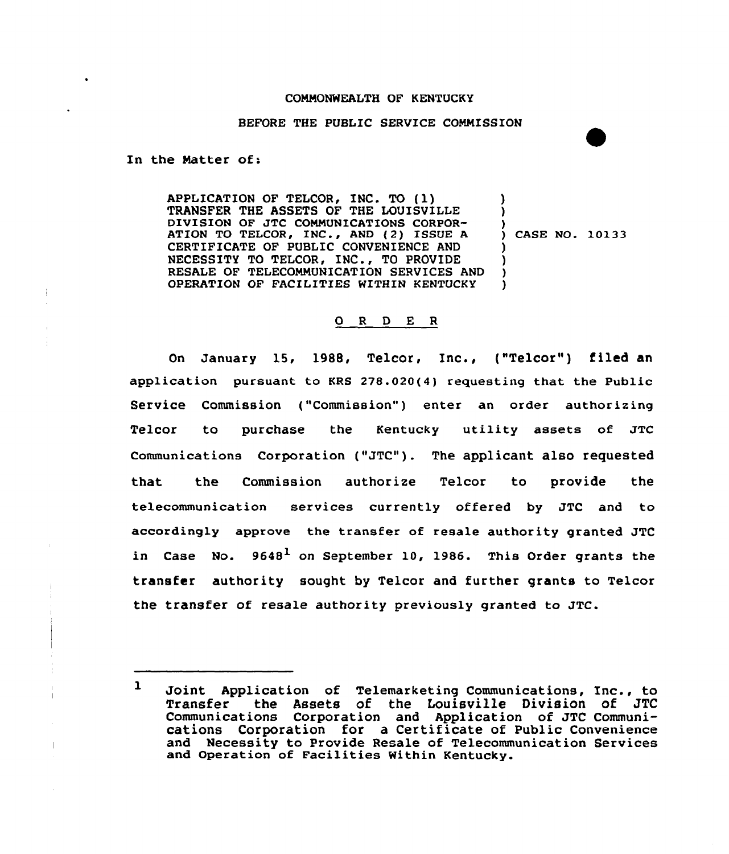## CONNONWEALTH OF KENTUCKY

## BEFORE THE PUBLIC SERVICE CONNISSION

In the Natter of:

APPLICATION OF TELCOR, INC. TO {1) TRANSFER THE ASSETS OF THE LOUISVILLE DIVISION OF JTC CONNUNICATIONS CORPOR-ATION TO TELCOR, INC., AND (2) ISSUE A CERTIFICATE OF PUBLIC CONVENIENCE AND NECESSITY TO TELCOR, INC., TO PROVIDE RESALE OF TELECOMMUNICATION SERVICES AND OPERATION OF FACILITIES WITHIN KENTUCKY ) ) ) ) CASE NO. 10133  $\lambda$  $\mathcal{L}$ ) )

# 0 <sup>R</sup> <sup>D</sup> E <sup>R</sup>

On January 15, 1988, Telcor, Inc., ("Telcor") filed an application pursuant to KRS 278.020(4) requesting that the Public Service Commission ("Commission") enter an order authorizing Telcor to purchase the Kentucky utility assets of JTC Communications Corporation ("JTC"). The applicant also requested that the Commission authorize Telcor to provide the telecommunication services currently offered by JTC and to according1y approve the transfer of resale authority granted JTC in Case No.  $9648<sup>1</sup>$  on September 10, 1986. This Order grants the transfer authority sought by Telcor and further grants to Telcor the transfer of resale authority previously granted to JTC.

<sup>1</sup> Joint Application of Telemarketing Communications, Inc., to<br>Transfer the Assets of the Louisville Division of JTC the Assets of the Louisville Division of JTC Communications Corporation and Application of JTC Communications Corporation for a Certificate of Public Convenience and Necessity to Provide Resale of Telecommunication Services and Operation of Facilities Within Kentucky.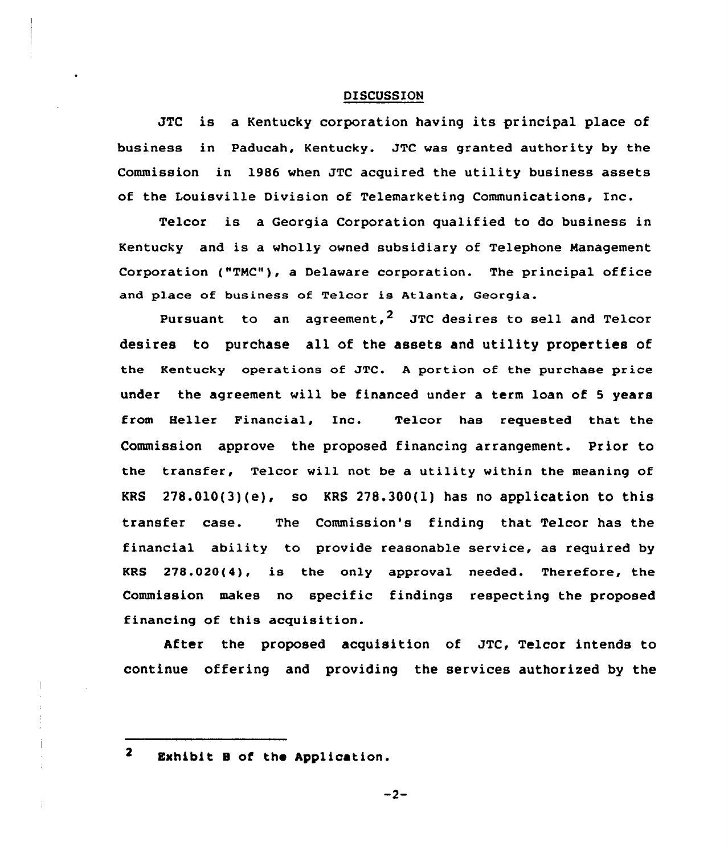# **DISCUSSION**

JTC is a Kentucky corporation having its principal place of business in Paducah, Kentucky. JTC vas granted authority by the Commission in 1986 when JTC acquired the utility business assets of the Louisville Division of Telemarketing Communications, Enc.

Telcor is a Georgia Corporation qualified to do business in Kentucky and is a wholly owned subsidiary of Telephone Management Corporation ("TMC"), a Delaware corporation. The principal office and place of business of Telcor is Atlanta, Georgia.

Pursuant to an agreement.<sup>2</sup> JTC desires to sell and Telcor desires to purchase all of the assets and utility properties of the Kentucky operations of JTC. <sup>A</sup> portion of the purchase price under the agreement vill be financed under a term loan of <sup>5</sup> years from Belier Financial, Inc. Telcor has requested that the Commission approve the proposed financing arrangement. Prior to the transfer, Telcor will not be a utility within the meaning of KRS  $278.010(3)(e)$ , so KRS  $278.300(1)$  has no application to this transfer case. The Commission's finding that Telcor has the financial ability to provide reasonable service, as required by KRS 278.020(4), is the only approval needed. Therefore, the Commission makes no specific findings respecting the proposed financing of this acquisition.

After the proposed acquisition of JTC, Telcor intends to continue offering and providing the services authorized by the

 $\overline{\mathbf{2}}$ Exhibit B of the Application.

 $-2-$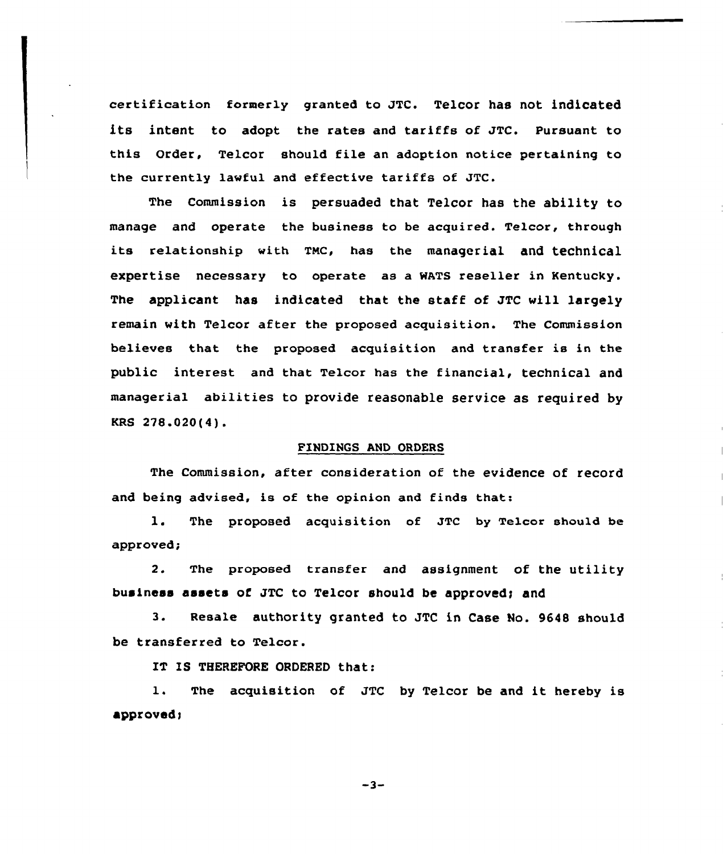certification former1y granted to JTC. Telcor has not indicated its intent to adopt the rates and tariffs of JTC. Pursuant to this Order, Telcor should file an adoption notice pertaining to the currently lawful and effective tariffs of JTC.

The Commission is persuaded that Telcor has the ability to manage and operate the business to be acquired. Telcor, through its relationship with TMC, has the managerial and technical expertise necessary to operate as a WATS reseller in Kentucky. The applicant has indicated that the staff of JTC will largely remain with Telcor after the proposed acquisition. The Commission believes that the proposed acquisition and transfer is in the public interest and that Telcor has the financial, technical and managerial abilities to provide reasonable service as required by KRS 278.020(4).

#### FINDINGS AND ORDERS

The Commission, after consideration of the evidence of record and being advised, is of the opinion and finds that:

1. The proposed acquisition of JTC by Telcor should be approved;

2. The proposed transfer and assignment of the utility business assets of JTC to Telcor should be approved; and

3. Resale authority granted to JTC in Case No. 9648 should be transferred to Telcor.

IT IS THEREFORE ORDERED that:

1. The acquisition of JTC by Telcor be and it hereby is  $approved;$ 

 $-3-$